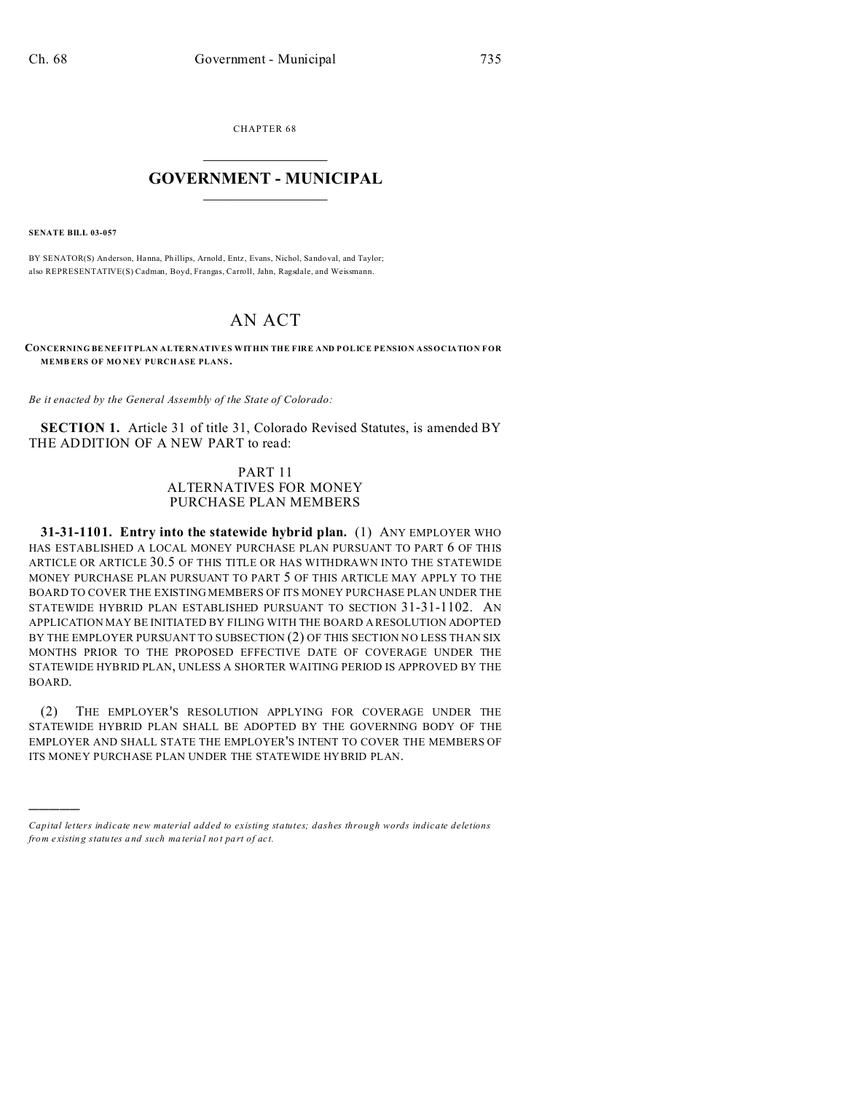CHAPTER 68  $\overline{\phantom{a}}$  , where  $\overline{\phantom{a}}$ 

## **GOVERNMENT - MUNICIPAL**  $\_$   $\_$

**SENATE BILL 03-057**

)))))

BY SENATOR(S) Anderson, Hanna, Phillips, Arnold, Entz, Evans, Nichol, Sandoval, and Taylor; also REPRESENTATIVE(S) Cadman, Boyd, Frangas, Carroll, Jahn, Ragsdale, and Weissmann.

# AN ACT

**CONCERNING BE NEF IT PLAN ALTERNATIVES WITHIN THE FIRE AND POLICE PENSION ASSOCIATION FOR MEMB ERS OF MO NEY PURCH ASE PLANS.**

*Be it enacted by the General Assembly of the State of Colorado:*

**SECTION 1.** Article 31 of title 31, Colorado Revised Statutes, is amended BY THE ADDITION OF A NEW PART to read:

## PART 11 ALTERNATIVES FOR MONEY PURCHASE PLAN MEMBERS

**31-31-1101. Entry into the statewide hybrid plan.** (1) ANY EMPLOYER WHO HAS ESTABLISHED A LOCAL MONEY PURCHASE PLAN PURSUANT TO PART 6 OF THIS ARTICLE OR ARTICLE 30.5 OF THIS TITLE OR HAS WITHDRAWN INTO THE STATEWIDE MONEY PURCHASE PLAN PURSUANT TO PART 5 OF THIS ARTICLE MAY APPLY TO THE BOARD TO COVER THE EXISTING MEMBERS OF ITS MONEY PURCHASE PLAN UNDER THE STATEWIDE HYBRID PLAN ESTABLISHED PURSUANT TO SECTION 31-31-1102. AN APPLICATION MAY BE INITIATED BY FILING WITH THE BOARD A RESOLUTION ADOPTED BY THE EMPLOYER PURSUANT TO SUBSECTION (2) OF THIS SECTION NO LESS THAN SIX MONTHS PRIOR TO THE PROPOSED EFFECTIVE DATE OF COVERAGE UNDER THE STATEWIDE HYBRID PLAN, UNLESS A SHORTER WAITING PERIOD IS APPROVED BY THE BOARD.

(2) THE EMPLOYER'S RESOLUTION APPLYING FOR COVERAGE UNDER THE STATEWIDE HYBRID PLAN SHALL BE ADOPTED BY THE GOVERNING BODY OF THE EMPLOYER AND SHALL STATE THE EMPLOYER'S INTENT TO COVER THE MEMBERS OF ITS MONEY PURCHASE PLAN UNDER THE STATEWIDE HYBRID PLAN.

*Capital letters indicate new material added to existing statutes; dashes through words indicate deletions from e xistin g statu tes a nd such ma teria l no t pa rt of ac t.*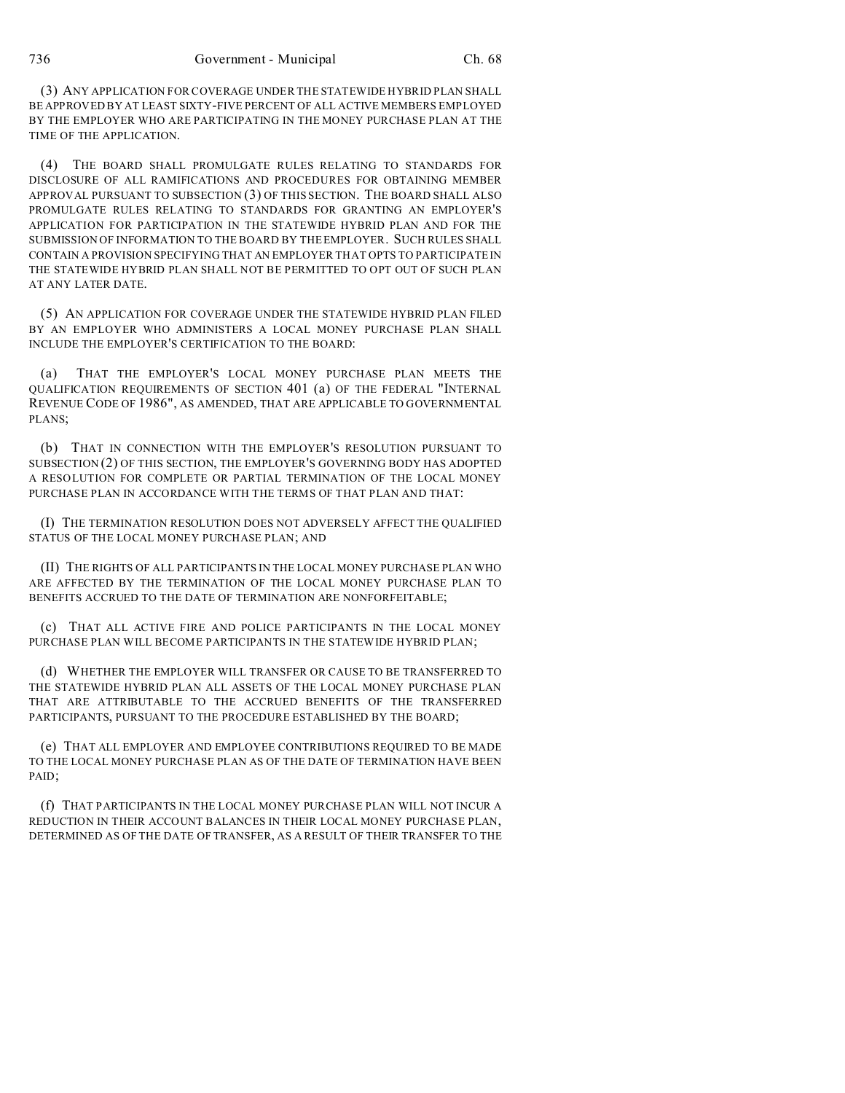(3) ANY APPLICATION FOR COVERAGE UNDER THE STATEWIDE HYBRID PLAN SHALL BE APPROVED BY AT LEAST SIXTY-FIVE PERCENT OF ALL ACTIVE MEMBERS EMPLOYED BY THE EMPLOYER WHO ARE PARTICIPATING IN THE MONEY PURCHASE PLAN AT THE TIME OF THE APPLICATION.

(4) THE BOARD SHALL PROMULGATE RULES RELATING TO STANDARDS FOR DISCLOSURE OF ALL RAMIFICATIONS AND PROCEDURES FOR OBTAINING MEMBER APPROVAL PURSUANT TO SUBSECTION (3) OF THIS SECTION. THE BOARD SHALL ALSO PROMULGATE RULES RELATING TO STANDARDS FOR GRANTING AN EMPLOYER'S APPLICATION FOR PARTICIPATION IN THE STATEWIDE HYBRID PLAN AND FOR THE SUBMISSION OF INFORMATION TO THE BOARD BY THE EMPLOYER. SUCH RULES SHALL CONTAIN A PROVISION SPECIFYING THAT AN EMPLOYER THAT OPTS TO PARTICIPATE IN THE STATEWIDE HYBRID PLAN SHALL NOT BE PERMITTED TO OPT OUT OF SUCH PLAN AT ANY LATER DATE.

(5) AN APPLICATION FOR COVERAGE UNDER THE STATEWIDE HYBRID PLAN FILED BY AN EMPLOYER WHO ADMINISTERS A LOCAL MONEY PURCHASE PLAN SHALL INCLUDE THE EMPLOYER'S CERTIFICATION TO THE BOARD:

(a) THAT THE EMPLOYER'S LOCAL MONEY PURCHASE PLAN MEETS THE QUALIFICATION REQUIREMENTS OF SECTION 401 (a) OF THE FEDERAL "INTERNAL REVENUE CODE OF 1986", AS AMENDED, THAT ARE APPLICABLE TO GOVERNMENTAL PLANS;

(b) THAT IN CONNECTION WITH THE EMPLOYER'S RESOLUTION PURSUANT TO SUBSECTION (2) OF THIS SECTION, THE EMPLOYER'S GOVERNING BODY HAS ADOPTED A RESOLUTION FOR COMPLETE OR PARTIAL TERMINATION OF THE LOCAL MONEY PURCHASE PLAN IN ACCORDANCE WITH THE TERMS OF THAT PLAN AND THAT:

(I) THE TERMINATION RESOLUTION DOES NOT ADVERSELY AFFECT THE QUALIFIED STATUS OF THE LOCAL MONEY PURCHASE PLAN; AND

(II) THE RIGHTS OF ALL PARTICIPANTS IN THE LOCAL MONEY PURCHASE PLAN WHO ARE AFFECTED BY THE TERMINATION OF THE LOCAL MONEY PURCHASE PLAN TO BENEFITS ACCRUED TO THE DATE OF TERMINATION ARE NONFORFEITABLE;

(c) THAT ALL ACTIVE FIRE AND POLICE PARTICIPANTS IN THE LOCAL MONEY PURCHASE PLAN WILL BECOME PARTICIPANTS IN THE STATEWIDE HYBRID PLAN;

(d) WHETHER THE EMPLOYER WILL TRANSFER OR CAUSE TO BE TRANSFERRED TO THE STATEWIDE HYBRID PLAN ALL ASSETS OF THE LOCAL MONEY PURCHASE PLAN THAT ARE ATTRIBUTABLE TO THE ACCRUED BENEFITS OF THE TRANSFERRED PARTICIPANTS, PURSUANT TO THE PROCEDURE ESTABLISHED BY THE BOARD;

(e) THAT ALL EMPLOYER AND EMPLOYEE CONTRIBUTIONS REQUIRED TO BE MADE TO THE LOCAL MONEY PURCHASE PLAN AS OF THE DATE OF TERMINATION HAVE BEEN PAID;

(f) THAT PARTICIPANTS IN THE LOCAL MONEY PURCHASE PLAN WILL NOT INCUR A REDUCTION IN THEIR ACCOUNT BALANCES IN THEIR LOCAL MONEY PURCHASE PLAN, DETERMINED AS OF THE DATE OF TRANSFER, AS A RESULT OF THEIR TRANSFER TO THE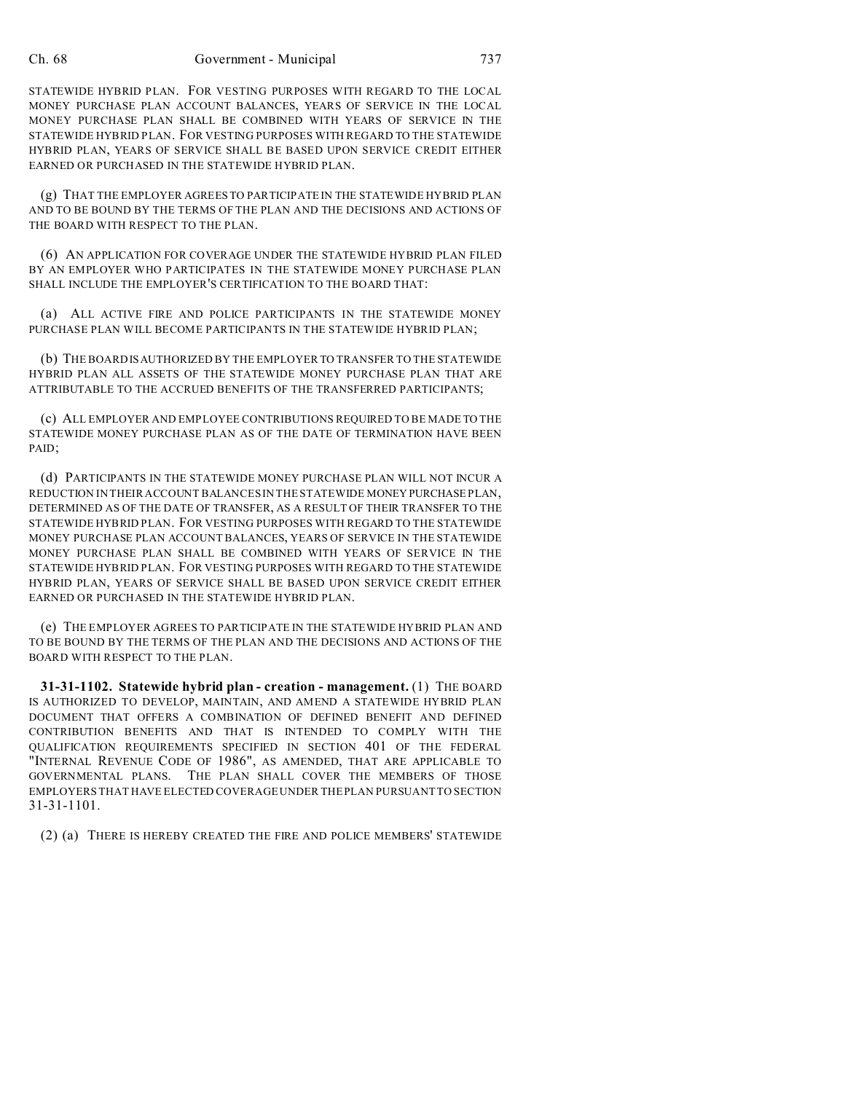STATEWIDE HYBRID PLAN. FOR VESTING PURPOSES WITH REGARD TO THE LOCAL MONEY PURCHASE PLAN ACCOUNT BALANCES, YEARS OF SERVICE IN THE LOCAL MONEY PURCHASE PLAN SHALL BE COMBINED WITH YEARS OF SERVICE IN THE STATEWIDE HYBRID PLAN. FOR VESTING PURPOSES WITH REGARD TO THE STATEWIDE HYBRID PLAN, YEARS OF SERVICE SHALL BE BASED UPON SERVICE CREDIT EITHER EARNED OR PURCHASED IN THE STATEWIDE HYBRID PLAN.

(g) THAT THE EMPLOYER AGREES TO PARTICIPATE IN THE STATEWIDE HYBRID PLAN AND TO BE BOUND BY THE TERMS OF THE PLAN AND THE DECISIONS AND ACTIONS OF THE BOARD WITH RESPECT TO THE PLAN.

(6) AN APPLICATION FOR COVERAGE UNDER THE STATEWIDE HYBRID PLAN FILED BY AN EMPLOYER WHO PARTICIPATES IN THE STATEWIDE MONEY PURCHASE PLAN SHALL INCLUDE THE EMPLOYER'S CERTIFICATION TO THE BOARD THAT:

(a) ALL ACTIVE FIRE AND POLICE PARTICIPANTS IN THE STATEWIDE MONEY PURCHASE PLAN WILL BECOME PARTICIPANTS IN THE STATEWIDE HYBRID PLAN;

(b) THE BOARD ISAUTHORIZED BY THE EMPLOYER TO TRANSFER TO THE STATEWIDE HYBRID PLAN ALL ASSETS OF THE STATEWIDE MONEY PURCHASE PLAN THAT ARE ATTRIBUTABLE TO THE ACCRUED BENEFITS OF THE TRANSFERRED PARTICIPANTS;

(c) ALL EMPLOYER AND EMPLOYEE CONTRIBUTIONS REQUIRED TO BE MADE TO THE STATEWIDE MONEY PURCHASE PLAN AS OF THE DATE OF TERMINATION HAVE BEEN PAID;

(d) PARTICIPANTS IN THE STATEWIDE MONEY PURCHASE PLAN WILL NOT INCUR A REDUCTION IN THEIR ACCOUNT BALANCES IN THE STATEWIDE MONEY PURCHASE PLAN, DETERMINED AS OF THE DATE OF TRANSFER, AS A RESULT OF THEIR TRANSFER TO THE STATEWIDE HYBRID PLAN. FOR VESTING PURPOSES WITH REGARD TO THE STATEWIDE MONEY PURCHASE PLAN ACCOUNT BALANCES, YEARS OF SERVICE IN THE STATEWIDE MONEY PURCHASE PLAN SHALL BE COMBINED WITH YEARS OF SERVICE IN THE STATEWIDE HYBRID PLAN. FOR VESTING PURPOSES WITH REGARD TO THE STATEWIDE HYBRID PLAN, YEARS OF SERVICE SHALL BE BASED UPON SERVICE CREDIT EITHER EARNED OR PURCHASED IN THE STATEWIDE HYBRID PLAN.

(e) THE EMPLOYER AGREES TO PARTICIPATE IN THE STATEWIDE HYBRID PLAN AND TO BE BOUND BY THE TERMS OF THE PLAN AND THE DECISIONS AND ACTIONS OF THE BOARD WITH RESPECT TO THE PLAN.

**31-31-1102. Statewide hybrid plan - creation - management.** (1) THE BOARD IS AUTHORIZED TO DEVELOP, MAINTAIN, AND AMEND A STATEWIDE HYBRID PLAN DOCUMENT THAT OFFERS A COMBINATION OF DEFINED BENEFIT AND DEFINED CONTRIBUTION BENEFITS AND THAT IS INTENDED TO COMPLY WITH THE QUALIFICATION REQUIREMENTS SPECIFIED IN SECTION 401 OF THE FEDERAL "INTERNAL REVENUE CODE OF 1986", AS AMENDED, THAT ARE APPLICABLE TO GOVERNMENTAL PLANS. THE PLAN SHALL COVER THE MEMBERS OF THOSE EMPLOYERS THAT HAVE ELECTED COVERAGE UNDER THE PLAN PURSUANT TO SECTION 31-31-1101.

(2) (a) THERE IS HEREBY CREATED THE FIRE AND POLICE MEMBERS' STATEWIDE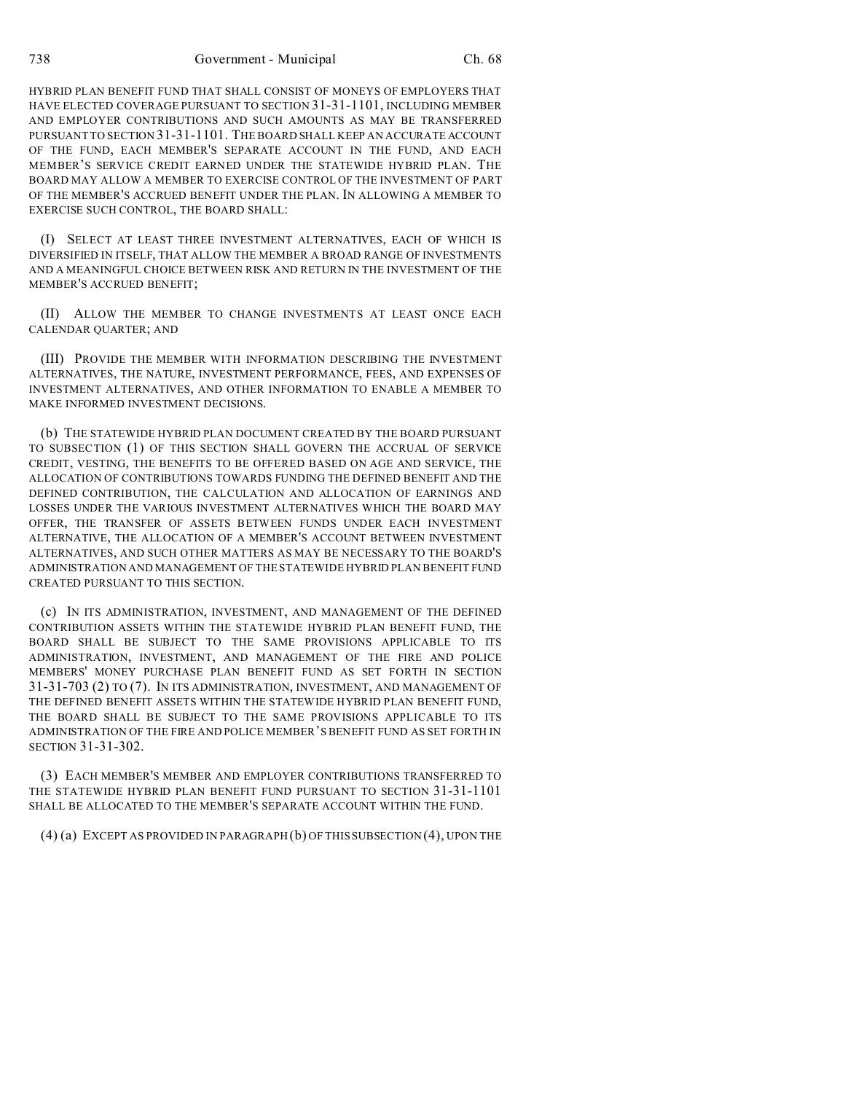738 Government - Municipal Ch. 68

HYBRID PLAN BENEFIT FUND THAT SHALL CONSIST OF MONEYS OF EMPLOYERS THAT HAVE ELECTED COVERAGE PURSUANT TO SECTION 31-31-1101, INCLUDING MEMBER AND EMPLOYER CONTRIBUTIONS AND SUCH AMOUNTS AS MAY BE TRANSFERRED PURSUANT TO SECTION 31-31-1101. THE BOARD SHALL KEEP AN ACCURATE ACCOUNT OF THE FUND, EACH MEMBER'S SEPARATE ACCOUNT IN THE FUND, AND EACH MEMBER'S SERVICE CREDIT EARNED UNDER THE STATEWIDE HYBRID PLAN. THE BOARD MAY ALLOW A MEMBER TO EXERCISE CONTROL OF THE INVESTMENT OF PART OF THE MEMBER'S ACCRUED BENEFIT UNDER THE PLAN. IN ALLOWING A MEMBER TO EXERCISE SUCH CONTROL, THE BOARD SHALL:

(I) SELECT AT LEAST THREE INVESTMENT ALTERNATIVES, EACH OF WHICH IS DIVERSIFIED IN ITSELF, THAT ALLOW THE MEMBER A BROAD RANGE OF INVESTMENTS AND A MEANINGFUL CHOICE BETWEEN RISK AND RETURN IN THE INVESTMENT OF THE MEMBER'S ACCRUED BENEFIT;

(II) ALLOW THE MEMBER TO CHANGE INVESTMENTS AT LEAST ONCE EACH CALENDAR QUARTER; AND

(III) PROVIDE THE MEMBER WITH INFORMATION DESCRIBING THE INVESTMENT ALTERNATIVES, THE NATURE, INVESTMENT PERFORMANCE, FEES, AND EXPENSES OF INVESTMENT ALTERNATIVES, AND OTHER INFORMATION TO ENABLE A MEMBER TO MAKE INFORMED INVESTMENT DECISIONS.

(b) THE STATEWIDE HYBRID PLAN DOCUMENT CREATED BY THE BOARD PURSUANT TO SUBSECTION (1) OF THIS SECTION SHALL GOVERN THE ACCRUAL OF SERVICE CREDIT, VESTING, THE BENEFITS TO BE OFFERED BASED ON AGE AND SERVICE, THE ALLOCATION OF CONTRIBUTIONS TOWARDS FUNDING THE DEFINED BENEFIT AND THE DEFINED CONTRIBUTION, THE CALCULATION AND ALLOCATION OF EARNINGS AND LOSSES UNDER THE VARIOUS INVESTMENT ALTERNATIVES WHICH THE BOARD MAY OFFER, THE TRANSFER OF ASSETS BETWEEN FUNDS UNDER EACH INVESTMENT ALTERNATIVE, THE ALLOCATION OF A MEMBER'S ACCOUNT BETWEEN INVESTMENT ALTERNATIVES, AND SUCH OTHER MATTERS AS MAY BE NECESSARY TO THE BOARD'S ADMINISTRATION AND MANAGEMENT OF THE STATEWIDE HYBRID PLAN BENEFIT FUND CREATED PURSUANT TO THIS SECTION.

(c) IN ITS ADMINISTRATION, INVESTMENT, AND MANAGEMENT OF THE DEFINED CONTRIBUTION ASSETS WITHIN THE STATEWIDE HYBRID PLAN BENEFIT FUND, THE BOARD SHALL BE SUBJECT TO THE SAME PROVISIONS APPLICABLE TO ITS ADMINISTRATION, INVESTMENT, AND MANAGEMENT OF THE FIRE AND POLICE MEMBERS' MONEY PURCHASE PLAN BENEFIT FUND AS SET FORTH IN SECTION 31-31-703 (2) TO (7). IN ITS ADMINISTRATION, INVESTMENT, AND MANAGEMENT OF THE DEFINED BENEFIT ASSETS WITHIN THE STATEWIDE HYBRID PLAN BENEFIT FUND, THE BOARD SHALL BE SUBJECT TO THE SAME PROVISIONS APPLICABLE TO ITS ADMINISTRATION OF THE FIRE AND POLICE MEMBER'S BENEFIT FUND AS SET FORTH IN SECTION 31-31-302.

(3) EACH MEMBER'S MEMBER AND EMPLOYER CONTRIBUTIONS TRANSFERRED TO THE STATEWIDE HYBRID PLAN BENEFIT FUND PURSUANT TO SECTION 31-31-1101 SHALL BE ALLOCATED TO THE MEMBER'S SEPARATE ACCOUNT WITHIN THE FUND.

(4) (a) EXCEPT AS PROVIDED IN PARAGRAPH (b) OF THIS SUBSECTION (4), UPON THE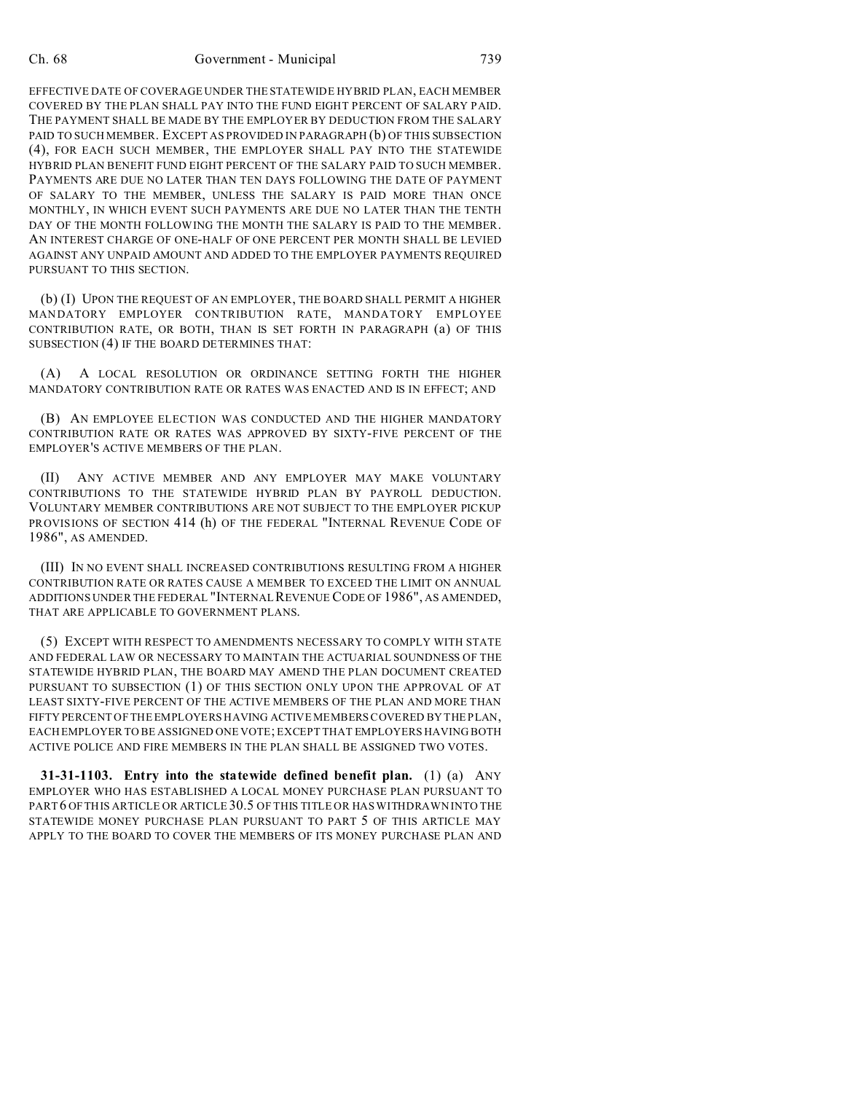#### Ch. 68 Government - Municipal 739

EFFECTIVE DATE OF COVERAGE UNDER THE STATEWIDE HYBRID PLAN, EACH MEMBER COVERED BY THE PLAN SHALL PAY INTO THE FUND EIGHT PERCENT OF SALARY PAID. THE PAYMENT SHALL BE MADE BY THE EMPLOYER BY DEDUCTION FROM THE SALARY PAID TO SUCH MEMBER. EXCEPT AS PROVIDED IN PARAGRAPH (b) OF THIS SUBSECTION (4), FOR EACH SUCH MEMBER, THE EMPLOYER SHALL PAY INTO THE STATEWIDE HYBRID PLAN BENEFIT FUND EIGHT PERCENT OF THE SALARY PAID TO SUCH MEMBER. PAYMENTS ARE DUE NO LATER THAN TEN DAYS FOLLOWING THE DATE OF PAYMENT OF SALARY TO THE MEMBER, UNLESS THE SALARY IS PAID MORE THAN ONCE MONTHLY, IN WHICH EVENT SUCH PAYMENTS ARE DUE NO LATER THAN THE TENTH DAY OF THE MONTH FOLLOWING THE MONTH THE SALARY IS PAID TO THE MEMBER. AN INTEREST CHARGE OF ONE-HALF OF ONE PERCENT PER MONTH SHALL BE LEVIED AGAINST ANY UNPAID AMOUNT AND ADDED TO THE EMPLOYER PAYMENTS REQUIRED PURSUANT TO THIS SECTION.

(b) (I) UPON THE REQUEST OF AN EMPLOYER, THE BOARD SHALL PERMIT A HIGHER MANDATORY EMPLOYER CONTRIBUTION RATE, MANDATORY EMPLOYEE CONTRIBUTION RATE, OR BOTH, THAN IS SET FORTH IN PARAGRAPH (a) OF THIS SUBSECTION (4) IF THE BOARD DETERMINES THAT:

(A) A LOCAL RESOLUTION OR ORDINANCE SETTING FORTH THE HIGHER MANDATORY CONTRIBUTION RATE OR RATES WAS ENACTED AND IS IN EFFECT; AND

(B) AN EMPLOYEE ELECTION WAS CONDUCTED AND THE HIGHER MANDATORY CONTRIBUTION RATE OR RATES WAS APPROVED BY SIXTY-FIVE PERCENT OF THE EMPLOYER'S ACTIVE MEMBERS OF THE PLAN.

(II) ANY ACTIVE MEMBER AND ANY EMPLOYER MAY MAKE VOLUNTARY CONTRIBUTIONS TO THE STATEWIDE HYBRID PLAN BY PAYROLL DEDUCTION. VOLUNTARY MEMBER CONTRIBUTIONS ARE NOT SUBJECT TO THE EMPLOYER PICKUP PROVISIONS OF SECTION 414 (h) OF THE FEDERAL "INTERNAL REVENUE CODE OF 1986", AS AMENDED.

(III) IN NO EVENT SHALL INCREASED CONTRIBUTIONS RESULTING FROM A HIGHER CONTRIBUTION RATE OR RATES CAUSE A MEMBER TO EXCEED THE LIMIT ON ANNUAL ADDITIONS UNDER THE FEDERAL "INTERNAL REVENUE CODE OF 1986", AS AMENDED, THAT ARE APPLICABLE TO GOVERNMENT PLANS.

(5) EXCEPT WITH RESPECT TO AMENDMENTS NECESSARY TO COMPLY WITH STATE AND FEDERAL LAW OR NECESSARY TO MAINTAIN THE ACTUARIAL SOUNDNESS OF THE STATEWIDE HYBRID PLAN, THE BOARD MAY AMEND THE PLAN DOCUMENT CREATED PURSUANT TO SUBSECTION (1) OF THIS SECTION ONLY UPON THE APPROVAL OF AT LEAST SIXTY-FIVE PERCENT OF THE ACTIVE MEMBERS OF THE PLAN AND MORE THAN FIFTY PERCENT OF THE EMPLOYERS HAVING ACTIVE MEMBERS COVERED BY THE PLAN, EACH EMPLOYER TO BE ASSIGNED ONE VOTE; EXCEPT THAT EMPLOYERS HAVING BOTH ACTIVE POLICE AND FIRE MEMBERS IN THE PLAN SHALL BE ASSIGNED TWO VOTES.

**31-31-1103. Entry into the statewide defined benefit plan.** (1) (a) ANY EMPLOYER WHO HAS ESTABLISHED A LOCAL MONEY PURCHASE PLAN PURSUANT TO PART6 OF THIS ARTICLE OR ARTICLE 30.5 OF THIS TITLE OR HAS WITHDRAWN INTO THE STATEWIDE MONEY PURCHASE PLAN PURSUANT TO PART 5 OF THIS ARTICLE MAY APPLY TO THE BOARD TO COVER THE MEMBERS OF ITS MONEY PURCHASE PLAN AND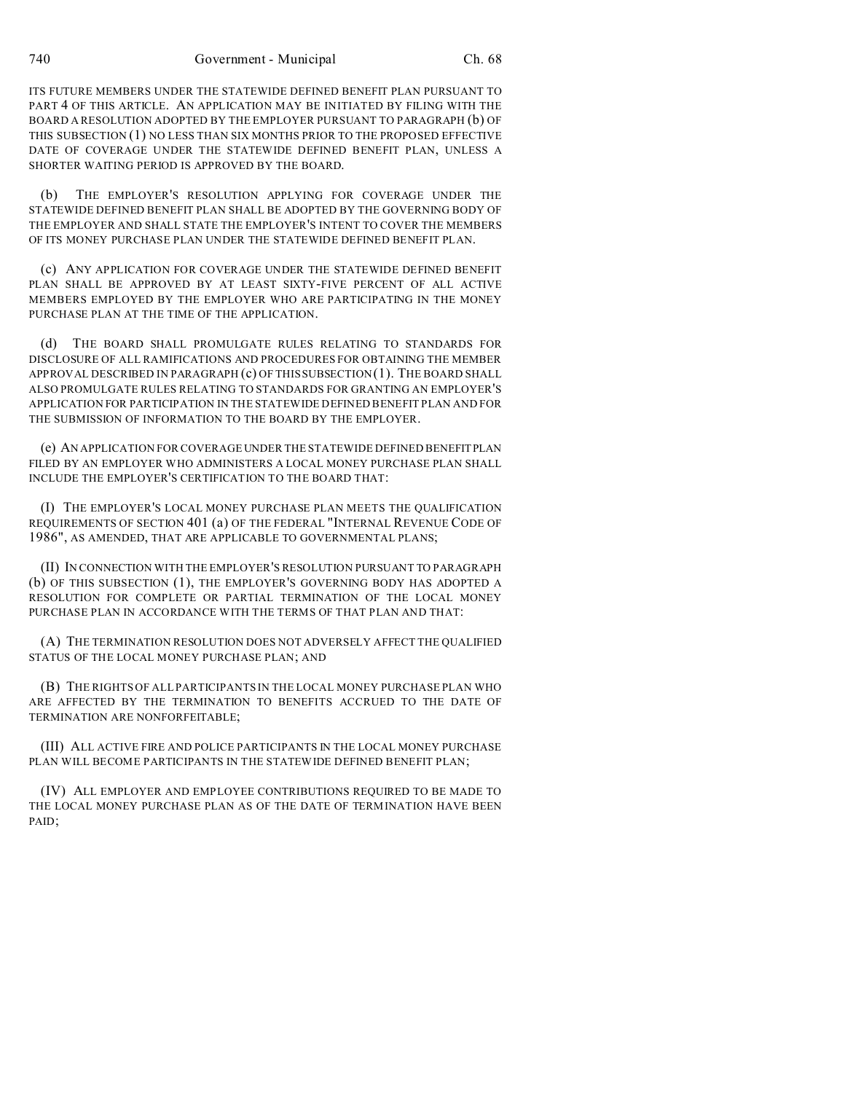ITS FUTURE MEMBERS UNDER THE STATEWIDE DEFINED BENEFIT PLAN PURSUANT TO PART 4 OF THIS ARTICLE. AN APPLICATION MAY BE INITIATED BY FILING WITH THE BOARD A RESOLUTION ADOPTED BY THE EMPLOYER PURSUANT TO PARAGRAPH (b) OF THIS SUBSECTION (1) NO LESS THAN SIX MONTHS PRIOR TO THE PROPOSED EFFECTIVE DATE OF COVERAGE UNDER THE STATEWIDE DEFINED BENEFIT PLAN, UNLESS A SHORTER WAITING PERIOD IS APPROVED BY THE BOARD.

(b) THE EMPLOYER'S RESOLUTION APPLYING FOR COVERAGE UNDER THE STATEWIDE DEFINED BENEFIT PLAN SHALL BE ADOPTED BY THE GOVERNING BODY OF THE EMPLOYER AND SHALL STATE THE EMPLOYER'S INTENT TO COVER THE MEMBERS OF ITS MONEY PURCHASE PLAN UNDER THE STATEWIDE DEFINED BENEFIT PLAN.

(c) ANY APPLICATION FOR COVERAGE UNDER THE STATEWIDE DEFINED BENEFIT PLAN SHALL BE APPROVED BY AT LEAST SIXTY-FIVE PERCENT OF ALL ACTIVE MEMBERS EMPLOYED BY THE EMPLOYER WHO ARE PARTICIPATING IN THE MONEY PURCHASE PLAN AT THE TIME OF THE APPLICATION.

(d) THE BOARD SHALL PROMULGATE RULES RELATING TO STANDARDS FOR DISCLOSURE OF ALL RAMIFICATIONS AND PROCEDURES FOR OBTAINING THE MEMBER APPROVAL DESCRIBED IN PARAGRAPH (c) OF THIS SUBSECTION (1). THE BOARD SHALL ALSO PROMULGATE RULES RELATING TO STANDARDS FOR GRANTING AN EMPLOYER'S APPLICATION FOR PARTICIPATION IN THE STATEWIDE DEFINED BENEFIT PLAN AND FOR THE SUBMISSION OF INFORMATION TO THE BOARD BY THE EMPLOYER.

(e) AN APPLICATION FOR COVERAGE UNDER THE STATEWIDE DEFINED BENEFITPLAN FILED BY AN EMPLOYER WHO ADMINISTERS A LOCAL MONEY PURCHASE PLAN SHALL INCLUDE THE EMPLOYER'S CERTIFICATION TO THE BOARD THAT:

(I) THE EMPLOYER'S LOCAL MONEY PURCHASE PLAN MEETS THE QUALIFICATION REQUIREMENTS OF SECTION 401 (a) OF THE FEDERAL "INTERNAL REVENUE CODE OF 1986", AS AMENDED, THAT ARE APPLICABLE TO GOVERNMENTAL PLANS;

(II) IN CONNECTION WITH THE EMPLOYER'S RESOLUTION PURSUANT TO PARAGRAPH (b) OF THIS SUBSECTION (1), THE EMPLOYER'S GOVERNING BODY HAS ADOPTED A RESOLUTION FOR COMPLETE OR PARTIAL TERMINATION OF THE LOCAL MONEY PURCHASE PLAN IN ACCORDANCE WITH THE TERMS OF THAT PLAN AND THAT:

(A) THE TERMINATION RESOLUTION DOES NOT ADVERSELY AFFECT THE QUALIFIED STATUS OF THE LOCAL MONEY PURCHASE PLAN; AND

(B) THE RIGHTS OF ALL PARTICIPANTS IN THE LOCAL MONEY PURCHASE PLAN WHO ARE AFFECTED BY THE TERMINATION TO BENEFITS ACCRUED TO THE DATE OF TERMINATION ARE NONFORFEITABLE;

(III) ALL ACTIVE FIRE AND POLICE PARTICIPANTS IN THE LOCAL MONEY PURCHASE PLAN WILL BECOME PARTICIPANTS IN THE STATEWIDE DEFINED BENEFIT PLAN;

(IV) ALL EMPLOYER AND EMPLOYEE CONTRIBUTIONS REQUIRED TO BE MADE TO THE LOCAL MONEY PURCHASE PLAN AS OF THE DATE OF TERMINATION HAVE BEEN PAID;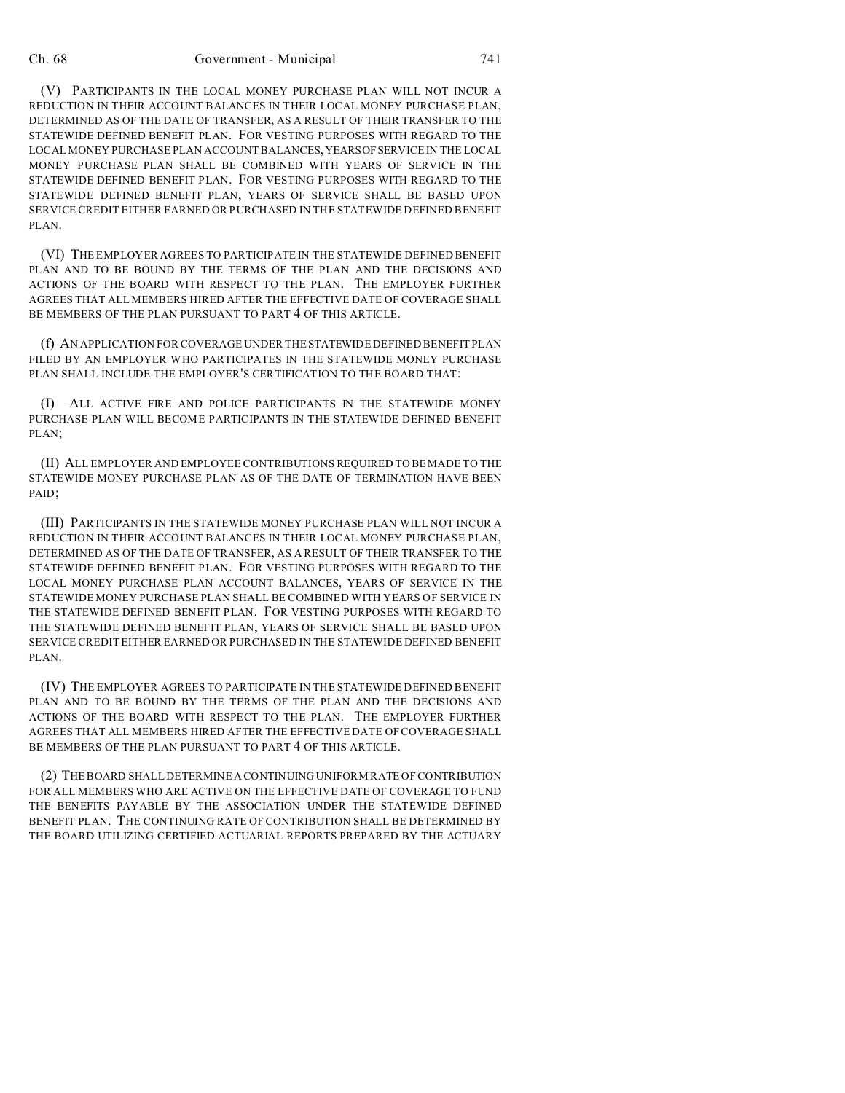#### Ch. 68 Government - Municipal 741

(V) PARTICIPANTS IN THE LOCAL MONEY PURCHASE PLAN WILL NOT INCUR A REDUCTION IN THEIR ACCOUNT BALANCES IN THEIR LOCAL MONEY PURCHASE PLAN, DETERMINED AS OF THE DATE OF TRANSFER, AS A RESULT OF THEIR TRANSFER TO THE STATEWIDE DEFINED BENEFIT PLAN. FOR VESTING PURPOSES WITH REGARD TO THE LOCAL MONEY PURCHASE PLAN ACCOUNT BALANCES,YEARSOFSERVICE IN THE LOCAL MONEY PURCHASE PLAN SHALL BE COMBINED WITH YEARS OF SERVICE IN THE STATEWIDE DEFINED BENEFIT PLAN. FOR VESTING PURPOSES WITH REGARD TO THE STATEWIDE DEFINED BENEFIT PLAN, YEARS OF SERVICE SHALL BE BASED UPON SERVICE CREDIT EITHER EARNED OR PURCHASED IN THE STATEWIDE DEFINED BENEFIT PLAN.

(VI) THE EMPLOYER AGREES TO PARTICIPATE IN THE STATEWIDE DEFINED BENEFIT PLAN AND TO BE BOUND BY THE TERMS OF THE PLAN AND THE DECISIONS AND ACTIONS OF THE BOARD WITH RESPECT TO THE PLAN. THE EMPLOYER FURTHER AGREES THAT ALL MEMBERS HIRED AFTER THE EFFECTIVE DATE OF COVERAGE SHALL BE MEMBERS OF THE PLAN PURSUANT TO PART 4 OF THIS ARTICLE.

(f) AN APPLICATION FOR COVERAGE UNDER THE STATEWIDE DEFINED BENEFIT PLAN FILED BY AN EMPLOYER WHO PARTICIPATES IN THE STATEWIDE MONEY PURCHASE PLAN SHALL INCLUDE THE EMPLOYER'S CERTIFICATION TO THE BOARD THAT:

(I) ALL ACTIVE FIRE AND POLICE PARTICIPANTS IN THE STATEWIDE MONEY PURCHASE PLAN WILL BECOME PARTICIPANTS IN THE STATEWIDE DEFINED BENEFIT PLAN;

(II) ALL EMPLOYER AND EMPLOYEE CONTRIBUTIONS REQUIRED TO BE MADE TO THE STATEWIDE MONEY PURCHASE PLAN AS OF THE DATE OF TERMINATION HAVE BEEN PAID;

(III) PARTICIPANTS IN THE STATEWIDE MONEY PURCHASE PLAN WILL NOT INCUR A REDUCTION IN THEIR ACCOUNT BALANCES IN THEIR LOCAL MONEY PURCHASE PLAN, DETERMINED AS OF THE DATE OF TRANSFER, AS A RESULT OF THEIR TRANSFER TO THE STATEWIDE DEFINED BENEFIT PLAN. FOR VESTING PURPOSES WITH REGARD TO THE LOCAL MONEY PURCHASE PLAN ACCOUNT BALANCES, YEARS OF SERVICE IN THE STATEWIDE MONEY PURCHASE PLAN SHALL BE COMBINED WITH YEARS OF SERVICE IN THE STATEWIDE DEFINED BENEFIT PLAN. FOR VESTING PURPOSES WITH REGARD TO THE STATEWIDE DEFINED BENEFIT PLAN, YEARS OF SERVICE SHALL BE BASED UPON SERVICE CREDIT EITHER EARNED OR PURCHASED IN THE STATEWIDE DEFINED BENEFIT PLAN.

(IV) THE EMPLOYER AGREES TO PARTICIPATE IN THE STATEWIDE DEFINED BENEFIT PLAN AND TO BE BOUND BY THE TERMS OF THE PLAN AND THE DECISIONS AND ACTIONS OF THE BOARD WITH RESPECT TO THE PLAN. THE EMPLOYER FURTHER AGREES THAT ALL MEMBERS HIRED AFTER THE EFFECTIVE DATE OF COVERAGE SHALL BE MEMBERS OF THE PLAN PURSUANT TO PART 4 OF THIS ARTICLE.

(2) THE BOARD SHALL DETERMINE A CONTINUING UNIFORM RATE OF CONTRIBUTION FOR ALL MEMBERS WHO ARE ACTIVE ON THE EFFECTIVE DATE OF COVERAGE TO FUND THE BENEFITS PAYABLE BY THE ASSOCIATION UNDER THE STATEWIDE DEFINED BENEFIT PLAN. THE CONTINUING RATE OF CONTRIBUTION SHALL BE DETERMINED BY THE BOARD UTILIZING CERTIFIED ACTUARIAL REPORTS PREPARED BY THE ACTUARY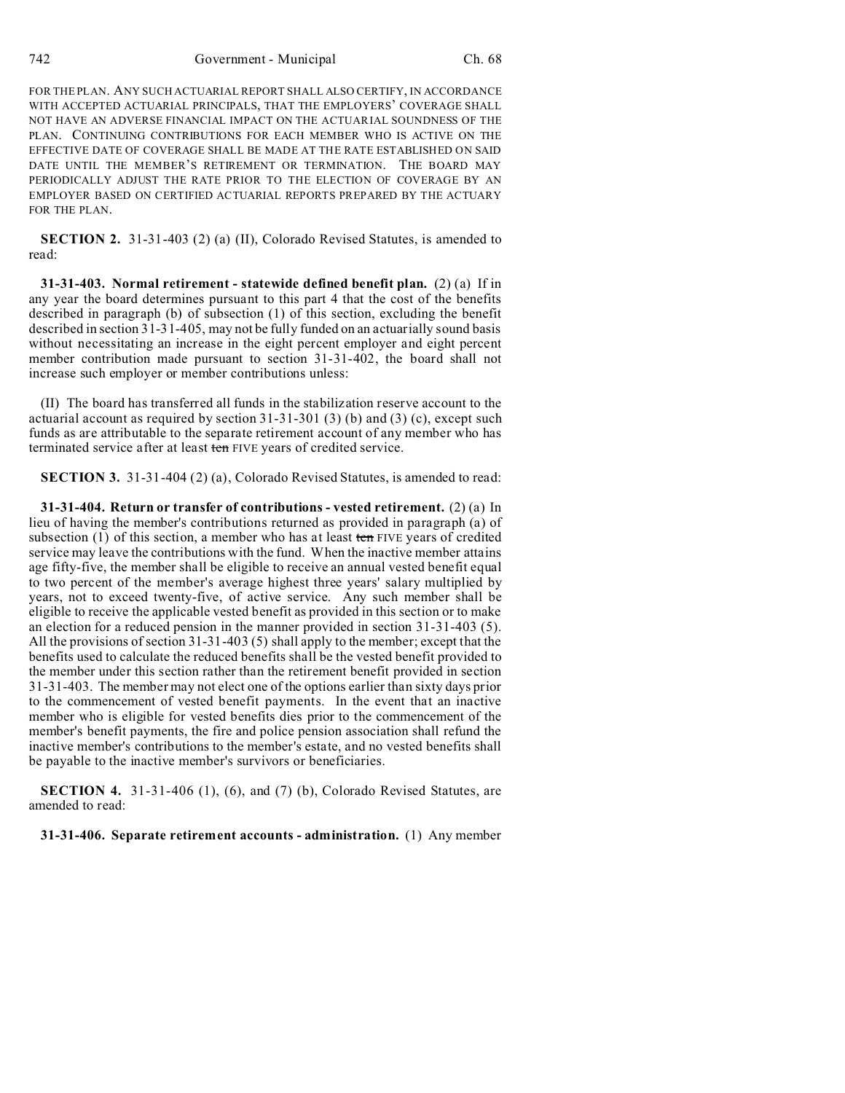FOR THE PLAN. ANY SUCH ACTUARIAL REPORT SHALL ALSO CERTIFY, IN ACCORDANCE WITH ACCEPTED ACTUARIAL PRINCIPALS, THAT THE EMPLOYERS' COVERAGE SHALL NOT HAVE AN ADVERSE FINANCIAL IMPACT ON THE ACTUARIAL SOUNDNESS OF THE PLAN. CONTINUING CONTRIBUTIONS FOR EACH MEMBER WHO IS ACTIVE ON THE EFFECTIVE DATE OF COVERAGE SHALL BE MADE AT THE RATE ESTABLISHED ON SAID DATE UNTIL THE MEMBER'S RETIREMENT OR TERMINATION. THE BOARD MAY PERIODICALLY ADJUST THE RATE PRIOR TO THE ELECTION OF COVERAGE BY AN EMPLOYER BASED ON CERTIFIED ACTUARIAL REPORTS PREPARED BY THE ACTUARY FOR THE PLAN.

**SECTION 2.** 31-31-403 (2) (a) (II), Colorado Revised Statutes, is amended to read:

**31-31-403. Normal retirement - statewide defined benefit plan.** (2) (a) If in any year the board determines pursuant to this part 4 that the cost of the benefits described in paragraph (b) of subsection (1) of this section, excluding the benefit described in section 31-31-405, may not be fully funded on an actuarially sound basis without necessitating an increase in the eight percent employer and eight percent member contribution made pursuant to section 31-31-402, the board shall not increase such employer or member contributions unless:

(II) The board has transferred all funds in the stabilization reserve account to the actuarial account as required by section 31-31-301 (3) (b) and (3) (c), except such funds as are attributable to the separate retirement account of any member who has terminated service after at least ten FIVE years of credited service.

**SECTION 3.** 31-31-404 (2) (a), Colorado Revised Statutes, is amended to read:

**31-31-404. Return or transfer of contributions - vested retirement.** (2) (a) In lieu of having the member's contributions returned as provided in paragraph (a) of subsection  $(1)$  of this section, a member who has at least ten FIVE years of credited service may leave the contributions with the fund. When the inactive member attains age fifty-five, the member shall be eligible to receive an annual vested benefit equal to two percent of the member's average highest three years' salary multiplied by years, not to exceed twenty-five, of active service. Any such member shall be eligible to receive the applicable vested benefit as provided in this section or to make an election for a reduced pension in the manner provided in section 31-31-403 (5). All the provisions of section 31-31-403 (5) shall apply to the member; except that the benefits used to calculate the reduced benefits shall be the vested benefit provided to the member under this section rather than the retirement benefit provided in section 31-31-403. The member may not elect one of the options earlier than sixty days prior to the commencement of vested benefit payments. In the event that an inactive member who is eligible for vested benefits dies prior to the commencement of the member's benefit payments, the fire and police pension association shall refund the inactive member's contributions to the member's estate, and no vested benefits shall be payable to the inactive member's survivors or beneficiaries.

**SECTION 4.** 31-31-406 (1), (6), and (7) (b), Colorado Revised Statutes, are amended to read:

**31-31-406. Separate retirement accounts - administration.** (1) Any member